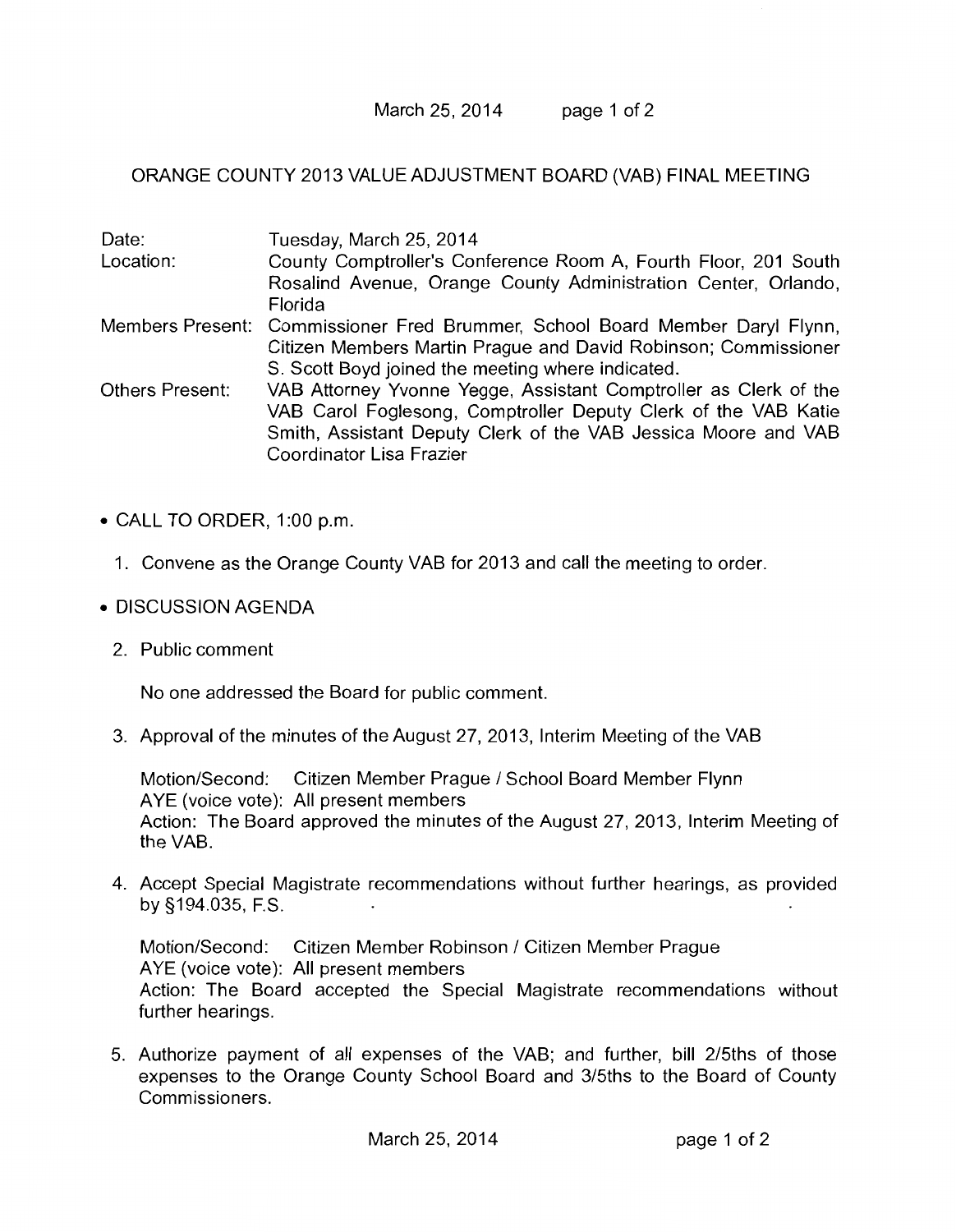March 25, 2014 page 1 of 2

ORANGE COUNTY 2013 VALUE ADJUSTMENT BOARD (VAB) FINAL MEETING

| Date:                  | Tuesday, March 25, 2014                                                      |
|------------------------|------------------------------------------------------------------------------|
| Location:              | County Comptroller's Conference Room A, Fourth Floor, 201 South              |
|                        | Rosalind Avenue, Orange County Administration Center, Orlando,               |
|                        | Florida                                                                      |
|                        | Members Present: Commissioner Fred Brummer, School Board Member Daryl Flynn, |
|                        | Citizen Members Martin Prague and David Robinson; Commissioner               |
|                        | S. Scott Boyd joined the meeting where indicated.                            |
| <b>Others Present:</b> | VAB Attorney Yvonne Yegge, Assistant Comptroller as Clerk of the             |
|                        | VAB Carol Foglesong, Comptroller Deputy Clerk of the VAB Katie               |
|                        | Smith, Assistant Deputy Clerk of the VAB Jessica Moore and VAB               |
|                        | Coordinator Lisa Frazier                                                     |

- CALL TO ORDER, 1:00 p.m.
	- 1. Convene as the Orange County VAB for 2013 and call the meeting to order.
- DISCUSSION AGENDA
	- 2. Public comment

No one addressed the Board for public comment.

3. Approval of the minutes of the August 27, 2013, Interim Meeting of the VAB

Motion/Second: Citizen Member Prague / School Board Member Flynn AYE (voice vote): All present members Action: The Board approved the minutes of the August 27, 2013, Interim Meeting of the VAB.

4. Accept Special Magistrate recommendations without further hearings, as provided by §194.035, F.S.

Motion/Second: Citizen Member Robinson / Citizen Member Prague AYE (voice vote): All present members Action: The Board accepted the Special Magistrate recommendations without further hearings.

5. Authorize payment of all expenses of the VAB; and further, bill 2/5ths of those expenses to the Orange County School Board and 3/5ths to the Board of County Commissioners.